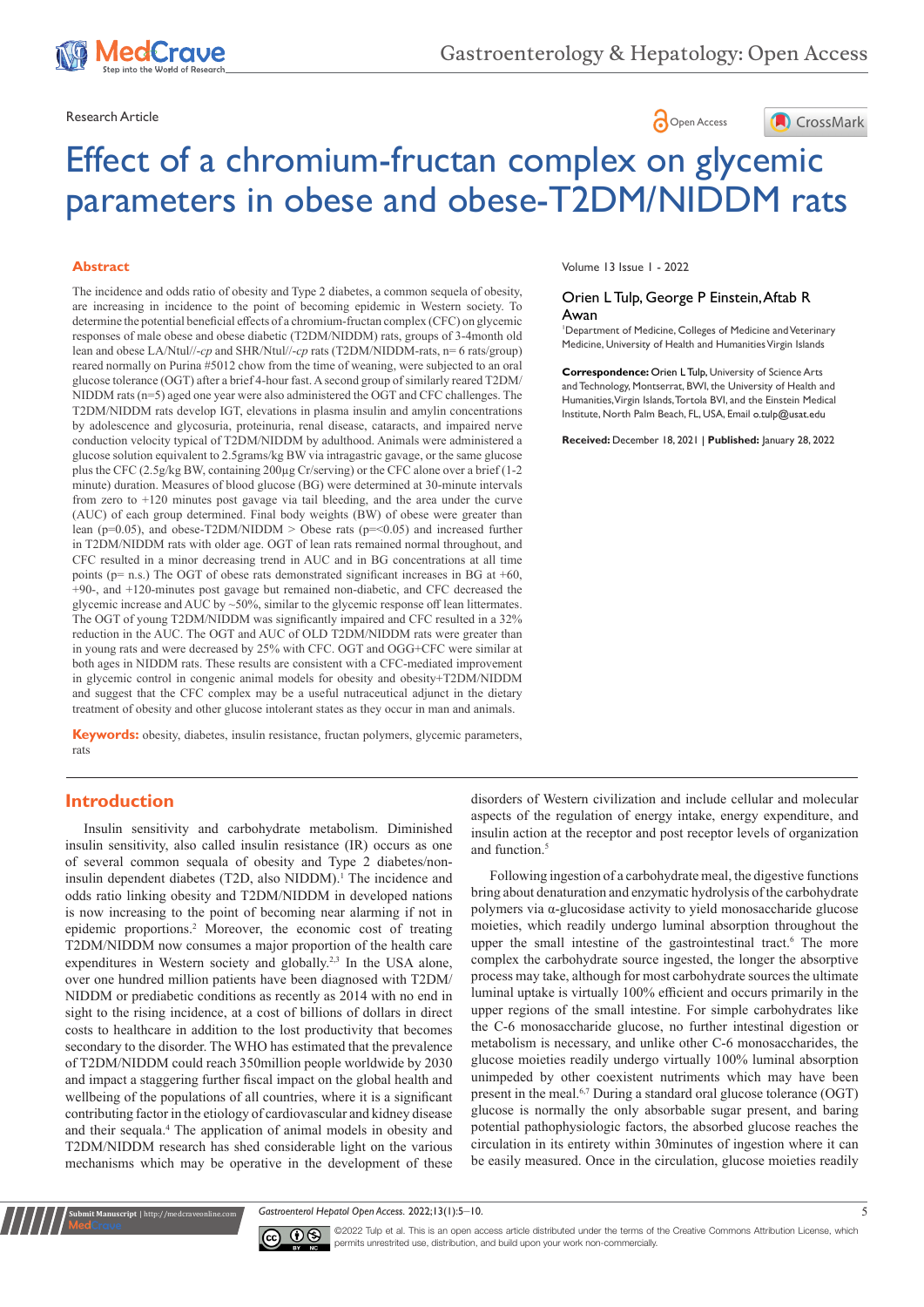

Research Article **Contract Article** Open Access **Contract Article** 



# Effect of a chromium-fructan complex on glycemic parameters in obese and obese-T2DM/NIDDM rats

#### **Abstract**

The incidence and odds ratio of obesity and Type 2 diabetes, a common sequela of obesity, are increasing in incidence to the point of becoming epidemic in Western society. To determine the potential beneficial effects of a chromium-fructan complex (CFC) on glycemic responses of male obese and obese diabetic (T2DM/NIDDM) rats, groups of 3-4month old lean and obese LA/Ntul//-*cp* and SHR/Ntul//-*cp* rats (T2DM/NIDDM-rats, n= 6 rats/group) reared normally on Purina #5012 chow from the time of weaning, were subjected to an oral glucose tolerance (OGT) after a brief 4-hour fast. A second group of similarly reared T2DM/ NIDDM rats (n=5) aged one year were also administered the OGT and CFC challenges. The T2DM/NIDDM rats develop IGT, elevations in plasma insulin and amylin concentrations by adolescence and glycosuria, proteinuria, renal disease, cataracts, and impaired nerve conduction velocity typical of T2DM/NIDDM by adulthood. Animals were administered a glucose solution equivalent to 2.5grams/kg BW via intragastric gavage, or the same glucose plus the CFC (2.5g/kg BW, containing 200µg Cr/serving) or the CFC alone over a brief (1-2 minute) duration. Measures of blood glucose (BG) were determined at 30-minute intervals from zero to +120 minutes post gavage via tail bleeding, and the area under the curve (AUC) of each group determined. Final body weights (BW) of obese were greater than lean ( $p=0.05$ ), and obese-T2DM/NIDDM > Obese rats ( $p=<0.05$ ) and increased further in T2DM/NIDDM rats with older age. OGT of lean rats remained normal throughout, and CFC resulted in a minor decreasing trend in AUC and in BG concentrations at all time points ( $p=$  n.s.) The OGT of obese rats demonstrated significant increases in BG at  $+60$ , +90-, and +120-minutes post gavage but remained non-diabetic, and CFC decreased the glycemic increase and AUC by ~50%, similar to the glycemic response off lean littermates. The OGT of young T2DM/NIDDM was significantly impaired and CFC resulted in a 32% reduction in the AUC. The OGT and AUC of OLD T2DM/NIDDM rats were greater than in young rats and were decreased by 25% with CFC. OGT and OGG+CFC were similar at both ages in NIDDM rats. These results are consistent with a CFC-mediated improvement in glycemic control in congenic animal models for obesity and obesity+T2DM/NIDDM and suggest that the CFC complex may be a useful nutraceutical adjunct in the dietary treatment of obesity and other glucose intolerant states as they occur in man and animals.

**Keywords:** obesity, diabetes, insulin resistance, fructan polymers, glycemic parameters, rats

## **Introduction**

**Submit Manuscript** | http://medcraveonline.com

Insulin sensitivity and carbohydrate metabolism. Diminished insulin sensitivity, also called insulin resistance (IR) occurs as one of several common sequala of obesity and Type 2 diabetes/noninsulin dependent diabetes (T2D, also NIDDM).<sup>1</sup> The incidence and odds ratio linking obesity and T2DM/NIDDM in developed nations is now increasing to the point of becoming near alarming if not in epidemic proportions.2 Moreover, the economic cost of treating T2DM/NIDDM now consumes a major proportion of the health care expenditures in Western society and globally.<sup>2,3</sup> In the USA alone, over one hundred million patients have been diagnosed with T2DM/ NIDDM or prediabetic conditions as recently as 2014 with no end in sight to the rising incidence, at a cost of billions of dollars in direct costs to healthcare in addition to the lost productivity that becomes secondary to the disorder. The WHO has estimated that the prevalence of T2DM/NIDDM could reach 350million people worldwide by 2030 and impact a staggering further fiscal impact on the global health and wellbeing of the populations of all countries, where it is a significant contributing factor in the etiology of cardiovascular and kidney disease and their sequala.<sup>4</sup> The application of animal models in obesity and T2DM/NIDDM research has shed considerable light on the various mechanisms which may be operative in the development of these

Volume 13 Issue 1 - 2022

#### Orien L Tulp, George P Einstein, Aftab R Awan

1 Department of Medicine, Colleges of Medicine and Veterinary Medicine, University of Health and Humanities Virgin Islands

**Correspondence:** Orien L Tulp, University of Science Arts and Technology, Montserrat, BWI, the University of Health and Humanities, Virgin Islands, Tortola BVI, and the Einstein Medical Institute, North Palm Beach, FL, USA, Email o.tulp@usat.edu

**Received:** December 18, 2021 | **Published:** January 28, 2022

disorders of Western civilization and include cellular and molecular aspects of the regulation of energy intake, energy expenditure, and insulin action at the receptor and post receptor levels of organization and function.<sup>5</sup>

Following ingestion of a carbohydrate meal, the digestive functions bring about denaturation and enzymatic hydrolysis of the carbohydrate polymers via α-glucosidase activity to yield monosaccharide glucose moieties, which readily undergo luminal absorption throughout the upper the small intestine of the gastrointestinal tract.<sup>6</sup> The more complex the carbohydrate source ingested, the longer the absorptive process may take, although for most carbohydrate sources the ultimate luminal uptake is virtually 100% efficient and occurs primarily in the upper regions of the small intestine. For simple carbohydrates like the C-6 monosaccharide glucose, no further intestinal digestion or metabolism is necessary, and unlike other C-6 monosaccharides, the glucose moieties readily undergo virtually 100% luminal absorption unimpeded by other coexistent nutriments which may have been present in the meal.<sup>6,7</sup> During a standard oral glucose tolerance (OGT) glucose is normally the only absorbable sugar present, and baring potential pathophysiologic factors, the absorbed glucose reaches the circulation in its entirety within 30minutes of ingestion where it can be easily measured. Once in the circulation, glucose moieties readily

*Gastroenterol Hepatol Open Access.* 2022;13(1):5‒10. 5



©2022 Tulp et al. This is an open access article distributed under the terms of the Creative Commons Attribution License, which permits unrestrited use, distribution, and build upon your work non-commercially.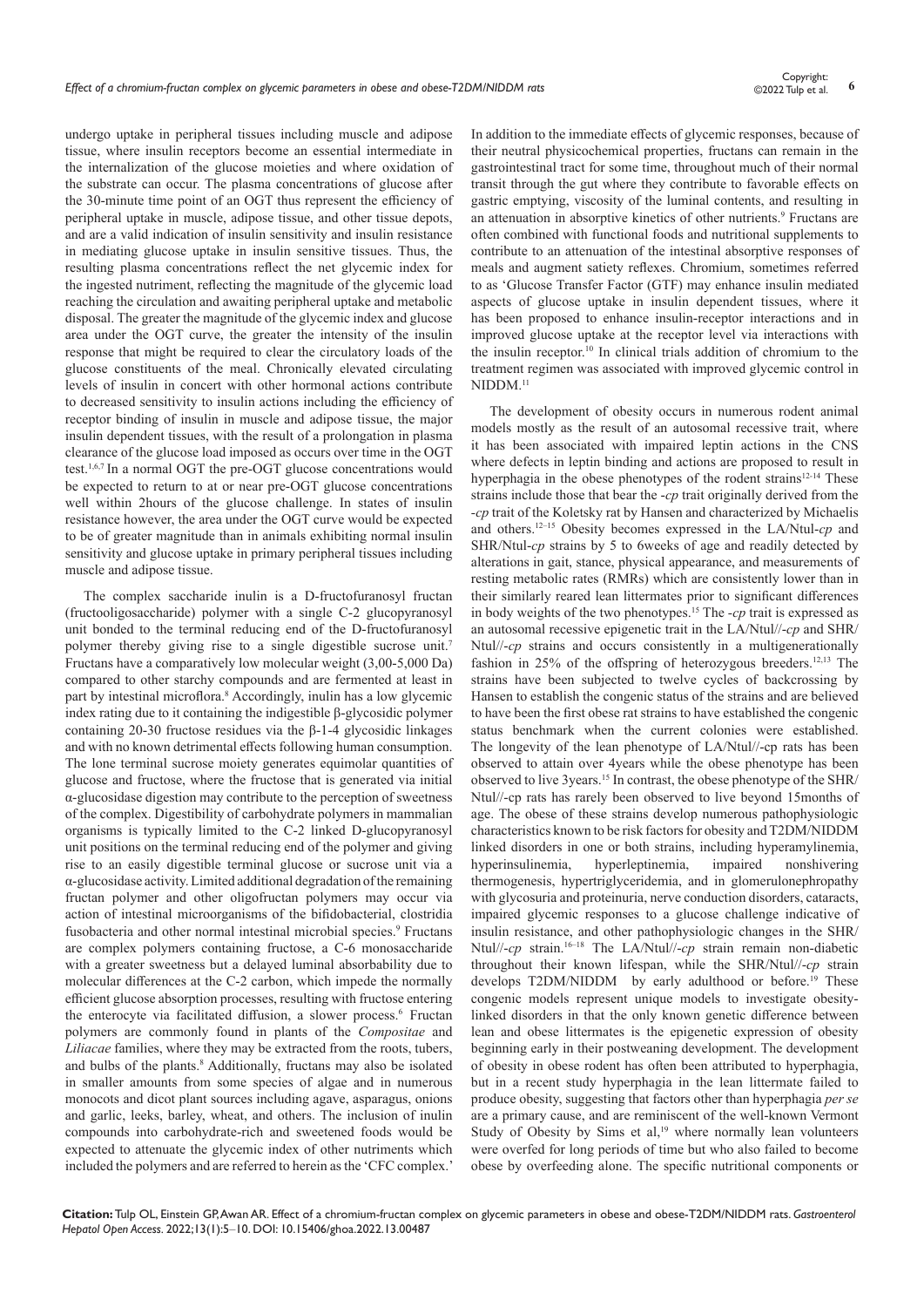undergo uptake in peripheral tissues including muscle and adipose tissue, where insulin receptors become an essential intermediate in the internalization of the glucose moieties and where oxidation of the substrate can occur. The plasma concentrations of glucose after the 30-minute time point of an OGT thus represent the efficiency of peripheral uptake in muscle, adipose tissue, and other tissue depots, and are a valid indication of insulin sensitivity and insulin resistance in mediating glucose uptake in insulin sensitive tissues. Thus, the resulting plasma concentrations reflect the net glycemic index for the ingested nutriment, reflecting the magnitude of the glycemic load reaching the circulation and awaiting peripheral uptake and metabolic disposal. The greater the magnitude of the glycemic index and glucose area under the OGT curve, the greater the intensity of the insulin response that might be required to clear the circulatory loads of the glucose constituents of the meal. Chronically elevated circulating levels of insulin in concert with other hormonal actions contribute to decreased sensitivity to insulin actions including the efficiency of receptor binding of insulin in muscle and adipose tissue, the major insulin dependent tissues, with the result of a prolongation in plasma clearance of the glucose load imposed as occurs over time in the OGT test.1,6,7 In a normal OGT the pre-OGT glucose concentrations would be expected to return to at or near pre-OGT glucose concentrations well within 2hours of the glucose challenge. In states of insulin resistance however, the area under the OGT curve would be expected to be of greater magnitude than in animals exhibiting normal insulin sensitivity and glucose uptake in primary peripheral tissues including muscle and adipose tissue.

The complex saccharide inulin is a D-fructofuranosyl fructan (fructooligosaccharide) polymer with a single C-2 glucopyranosyl unit bonded to the terminal reducing end of the D-fructofuranosyl polymer thereby giving rise to a single digestible sucrose unit.<sup>7</sup> Fructans have a comparatively low molecular weight (3,00-5,000 Da) compared to other starchy compounds and are fermented at least in part by intestinal microflora.<sup>8</sup> Accordingly, inulin has a low glycemic index rating due to it containing the indigestible β-glycosidic polymer containing 20-30 fructose residues via the β-1-4 glycosidic linkages and with no known detrimental effects following human consumption. The lone terminal sucrose moiety generates equimolar quantities of glucose and fructose, where the fructose that is generated via initial α-glucosidase digestion may contribute to the perception of sweetness of the complex. Digestibility of carbohydrate polymers in mammalian organisms is typically limited to the C-2 linked D-glucopyranosyl unit positions on the terminal reducing end of the polymer and giving rise to an easily digestible terminal glucose or sucrose unit via a α-glucosidase activity. Limited additional degradation of the remaining fructan polymer and other oligofructan polymers may occur via action of intestinal microorganisms of the bifidobacterial, clostridia fusobacteria and other normal intestinal microbial species.<sup>9</sup> Fructans are complex polymers containing fructose, a C-6 monosaccharide with a greater sweetness but a delayed luminal absorbability due to molecular differences at the C-2 carbon, which impede the normally efficient glucose absorption processes, resulting with fructose entering the enterocyte via facilitated diffusion, a slower process.<sup>6</sup> Fructan polymers are commonly found in plants of the *Compositae* and *Liliacae* families, where they may be extracted from the roots, tubers, and bulbs of the plants.<sup>8</sup> Additionally, fructans may also be isolated in smaller amounts from some species of algae and in numerous monocots and dicot plant sources including agave, asparagus, onions and garlic, leeks, barley, wheat, and others. The inclusion of inulin compounds into carbohydrate-rich and sweetened foods would be expected to attenuate the glycemic index of other nutriments which included the polymers and are referred to herein as the 'CFC complex.'

In addition to the immediate effects of glycemic responses, because of their neutral physicochemical properties, fructans can remain in the gastrointestinal tract for some time, throughout much of their normal transit through the gut where they contribute to favorable effects on gastric emptying, viscosity of the luminal contents, and resulting in an attenuation in absorptive kinetics of other nutrients.<sup>9</sup> Fructans are often combined with functional foods and nutritional supplements to contribute to an attenuation of the intestinal absorptive responses of meals and augment satiety reflexes. Chromium, sometimes referred to as 'Glucose Transfer Factor (GTF) may enhance insulin mediated aspects of glucose uptake in insulin dependent tissues, where it has been proposed to enhance insulin-receptor interactions and in improved glucose uptake at the receptor level via interactions with the insulin receptor.<sup>10</sup> In clinical trials addition of chromium to the treatment regimen was associated with improved glycemic control in NIDDM.<sup>11</sup>

The development of obesity occurs in numerous rodent animal models mostly as the result of an autosomal recessive trait, where it has been associated with impaired leptin actions in the CNS where defects in leptin binding and actions are proposed to result in hyperphagia in the obese phenotypes of the rodent strains<sup>12-14</sup> These strains include those that bear the -*cp* trait originally derived from the *-cp* trait of the Koletsky rat by Hansen and characterized by Michaelis and others.12–15 Obesity becomes expressed in the LA/Ntul-*cp* and SHR/Ntul-*cp* strains by 5 to 6weeks of age and readily detected by alterations in gait, stance, physical appearance, and measurements of resting metabolic rates (RMRs) which are consistently lower than in their similarly reared lean littermates prior to significant differences in body weights of the two phenotypes.15 The *-cp* trait is expressed as an autosomal recessive epigenetic trait in the LA/Ntul//-*cp* and SHR/ Ntul//-*cp* strains and occurs consistently in a multigenerationally fashion in 25% of the offspring of heterozygous breeders.12,13 The strains have been subjected to twelve cycles of backcrossing by Hansen to establish the congenic status of the strains and are believed to have been the first obese rat strains to have established the congenic status benchmark when the current colonies were established. The longevity of the lean phenotype of LA/Ntul//-cp rats has been observed to attain over 4years while the obese phenotype has been observed to live 3years.15 In contrast, the obese phenotype of the SHR/ Ntul//-cp rats has rarely been observed to live beyond 15months of age. The obese of these strains develop numerous pathophysiologic characteristics known to be risk factors for obesity and T2DM/NIDDM linked disorders in one or both strains, including hyperamylinemia, hyperinsulinemia, hyperleptinemia, impaired nonshivering thermogenesis, hypertriglyceridemia, and in glomerulonephropathy with glycosuria and proteinuria, nerve conduction disorders, cataracts, impaired glycemic responses to a glucose challenge indicative of insulin resistance, and other pathophysiologic changes in the SHR/ Ntul//-*cp* strain.16–18 The LA/Ntul//-*cp* strain remain non-diabetic throughout their known lifespan, while the SHR/Ntul//-*cp* strain develops T2DM/NIDDM by early adulthood or before.<sup>19</sup> These congenic models represent unique models to investigate obesitylinked disorders in that the only known genetic difference between lean and obese littermates is the epigenetic expression of obesity beginning early in their postweaning development. The development of obesity in obese rodent has often been attributed to hyperphagia, but in a recent study hyperphagia in the lean littermate failed to produce obesity, suggesting that factors other than hyperphagia *per se* are a primary cause, and are reminiscent of the well-known Vermont Study of Obesity by Sims et al,<sup>19</sup> where normally lean volunteers were overfed for long periods of time but who also failed to become obese by overfeeding alone. The specific nutritional components or

**Citation:** Tulp OL, Einstein GP, Awan AR. Effect of a chromium-fructan complex on glycemic parameters in obese and obese-T2DM/NIDDM rats. *Gastroenterol Hepatol Open Access.* 2022;13(1):5‒10. DOI: [10.15406/ghoa.2022.13.00487](https://doi.org/10.15406/ghoa.2022.13.00487)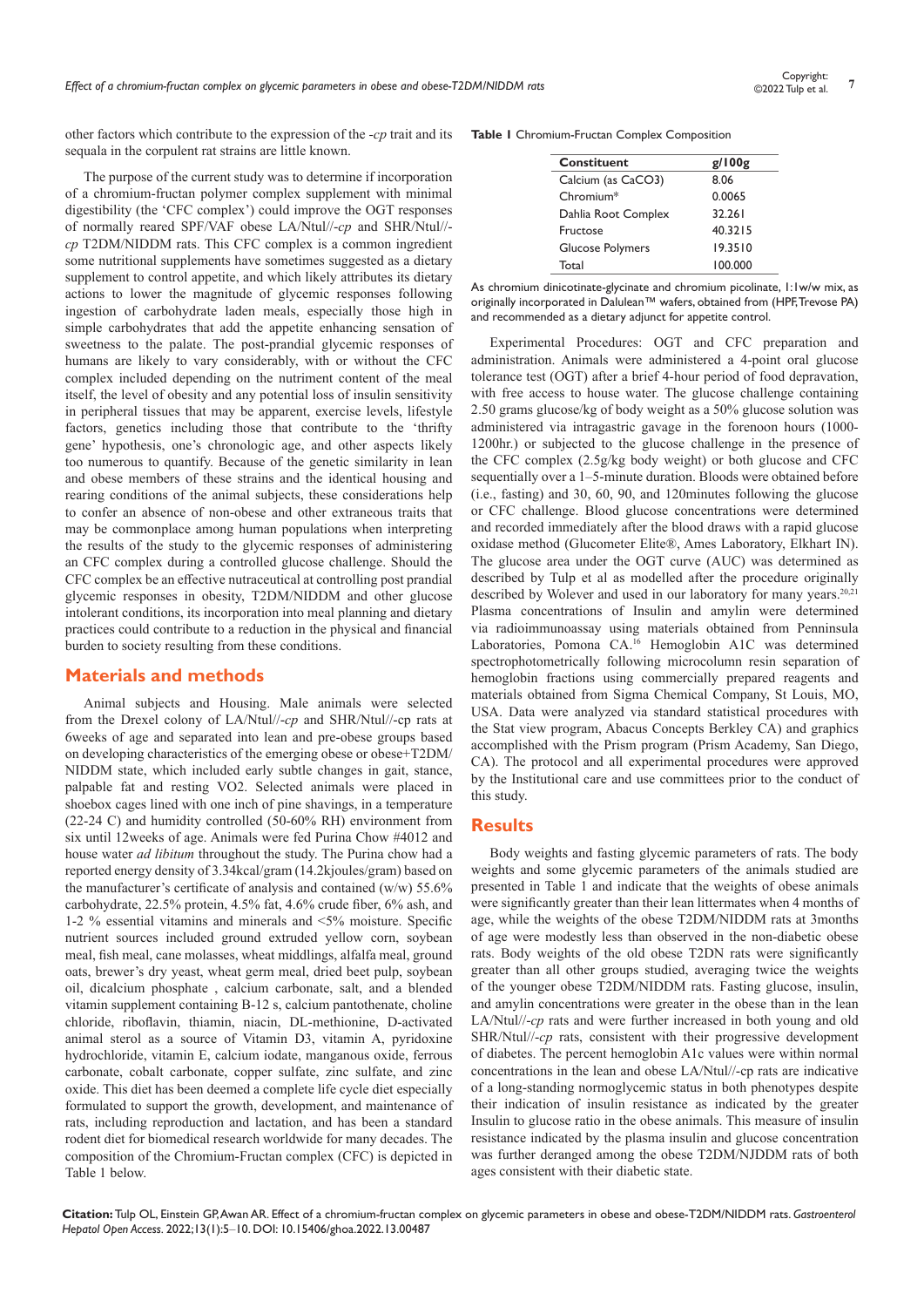other factors which contribute to the expression of the *-cp* trait and its sequala in the corpulent rat strains are little known.

The purpose of the current study was to determine if incorporation of a chromium-fructan polymer complex supplement with minimal digestibility (the 'CFC complex') could improve the OGT responses of normally reared SPF/VAF obese LA/Ntul//-*cp* and SHR/Ntul// *cp* T2DM/NIDDM rats. This CFC complex is a common ingredient some nutritional supplements have sometimes suggested as a dietary supplement to control appetite, and which likely attributes its dietary actions to lower the magnitude of glycemic responses following ingestion of carbohydrate laden meals, especially those high in simple carbohydrates that add the appetite enhancing sensation of sweetness to the palate. The post-prandial glycemic responses of humans are likely to vary considerably, with or without the CFC complex included depending on the nutriment content of the meal itself, the level of obesity and any potential loss of insulin sensitivity in peripheral tissues that may be apparent, exercise levels, lifestyle factors, genetics including those that contribute to the 'thrifty gene' hypothesis, one's chronologic age, and other aspects likely too numerous to quantify. Because of the genetic similarity in lean and obese members of these strains and the identical housing and rearing conditions of the animal subjects, these considerations help to confer an absence of non-obese and other extraneous traits that may be commonplace among human populations when interpreting the results of the study to the glycemic responses of administering an CFC complex during a controlled glucose challenge. Should the CFC complex be an effective nutraceutical at controlling post prandial glycemic responses in obesity, T2DM/NIDDM and other glucose intolerant conditions, its incorporation into meal planning and dietary practices could contribute to a reduction in the physical and financial burden to society resulting from these conditions.

### **Materials and methods**

Animal subjects and Housing. Male animals were selected from the Drexel colony of LA/Ntul//-*cp* and SHR/Ntul//-cp rats at 6weeks of age and separated into lean and pre-obese groups based on developing characteristics of the emerging obese or obese+T2DM/ NIDDM state, which included early subtle changes in gait, stance, palpable fat and resting VO2. Selected animals were placed in shoebox cages lined with one inch of pine shavings, in a temperature (22-24 C) and humidity controlled (50-60% RH) environment from six until 12weeks of age. Animals were fed Purina Chow #4012 and house water *ad libitum* throughout the study. The Purina chow had a reported energy density of 3.34kcal/gram (14.2kjoules/gram) based on the manufacturer's certificate of analysis and contained (w/w) 55.6% carbohydrate, 22.5% protein, 4.5% fat, 4.6% crude fiber, 6% ash, and 1-2 % essential vitamins and minerals and <5% moisture. Specific nutrient sources included ground extruded yellow corn, soybean meal, fish meal, cane molasses, wheat middlings, alfalfa meal, ground oats, brewer's dry yeast, wheat germ meal, dried beet pulp, soybean oil, dicalcium phosphate , calcium carbonate, salt, and a blended vitamin supplement containing B-12 s, calcium pantothenate, choline chloride, riboflavin, thiamin, niacin, DL-methionine, D-activated animal sterol as a source of Vitamin D3, vitamin A, pyridoxine hydrochloride, vitamin E, calcium iodate, manganous oxide, ferrous carbonate, cobalt carbonate, copper sulfate, zinc sulfate, and zinc oxide. This diet has been deemed a complete life cycle diet especially formulated to support the growth, development, and maintenance of rats, including reproduction and lactation, and has been a standard rodent diet for biomedical research worldwide for many decades. The composition of the Chromium-Fructan complex (CFC) is depicted in Table 1 below.

|  | Table I Chromium-Fructan Complex Composition |  |  |  |  |
|--|----------------------------------------------|--|--|--|--|
|--|----------------------------------------------|--|--|--|--|

| Constituent             | g/100g  |  |  |
|-------------------------|---------|--|--|
| Calcium (as CaCO3)      | 8.06    |  |  |
| Chromium*               | 0.0065  |  |  |
| Dahlia Root Complex     | 32.261  |  |  |
| Fructose                | 40.3215 |  |  |
| <b>Glucose Polymers</b> | 19.3510 |  |  |
| Total                   | 100.000 |  |  |

As chromium dinicotinate-glycinate and chromium picolinate, 1:1w/w mix, as originally incorporated in Dalulean™ wafers, obtained from (HPF, Trevose PA) and recommended as a dietary adjunct for appetite control.

Experimental Procedures: OGT and CFC preparation and administration. Animals were administered a 4-point oral glucose tolerance test (OGT) after a brief 4-hour period of food depravation, with free access to house water. The glucose challenge containing 2.50 grams glucose/kg of body weight as a 50% glucose solution was administered via intragastric gavage in the forenoon hours (1000- 1200hr.) or subjected to the glucose challenge in the presence of the CFC complex (2.5g/kg body weight) or both glucose and CFC sequentially over a 1–5-minute duration. Bloods were obtained before (i.e., fasting) and 30, 60, 90, and 120minutes following the glucose or CFC challenge. Blood glucose concentrations were determined and recorded immediately after the blood draws with a rapid glucose oxidase method (Glucometer Elite®, Ames Laboratory, Elkhart IN). The glucose area under the OGT curve (AUC) was determined as described by Tulp et al as modelled after the procedure originally described by Wolever and used in our laboratory for many years.<sup>20,21</sup> Plasma concentrations of Insulin and amylin were determined via radioimmunoassay using materials obtained from Penninsula Laboratories, Pomona CA.16 Hemoglobin A1C was determined spectrophotometrically following microcolumn resin separation of hemoglobin fractions using commercially prepared reagents and materials obtained from Sigma Chemical Company, St Louis, MO, USA. Data were analyzed via standard statistical procedures with the Stat view program, Abacus Concepts Berkley CA) and graphics accomplished with the Prism program (Prism Academy, San Diego, CA). The protocol and all experimental procedures were approved by the Institutional care and use committees prior to the conduct of this study.

#### **Results**

Body weights and fasting glycemic parameters of rats. The body weights and some glycemic parameters of the animals studied are presented in Table 1 and indicate that the weights of obese animals were significantly greater than their lean littermates when 4 months of age, while the weights of the obese T2DM/NIDDM rats at 3months of age were modestly less than observed in the non-diabetic obese rats. Body weights of the old obese T2DN rats were significantly greater than all other groups studied, averaging twice the weights of the younger obese T2DM/NIDDM rats. Fasting glucose, insulin, and amylin concentrations were greater in the obese than in the lean LA/Ntul//-*cp* rats and were further increased in both young and old SHR/Ntul//-*cp* rats, consistent with their progressive development of diabetes. The percent hemoglobin A1c values were within normal concentrations in the lean and obese LA/Ntul//-cp rats are indicative of a long-standing normoglycemic status in both phenotypes despite their indication of insulin resistance as indicated by the greater Insulin to glucose ratio in the obese animals. This measure of insulin resistance indicated by the plasma insulin and glucose concentration was further deranged among the obese T2DM/NJDDM rats of both ages consistent with their diabetic state.

**Citation:** Tulp OL, Einstein GP, Awan AR. Effect of a chromium-fructan complex on glycemic parameters in obese and obese-T2DM/NIDDM rats. *Gastroenterol Hepatol Open Access.* 2022;13(1):5‒10. DOI: [10.15406/ghoa.2022.13.00487](https://doi.org/10.15406/ghoa.2022.13.00487)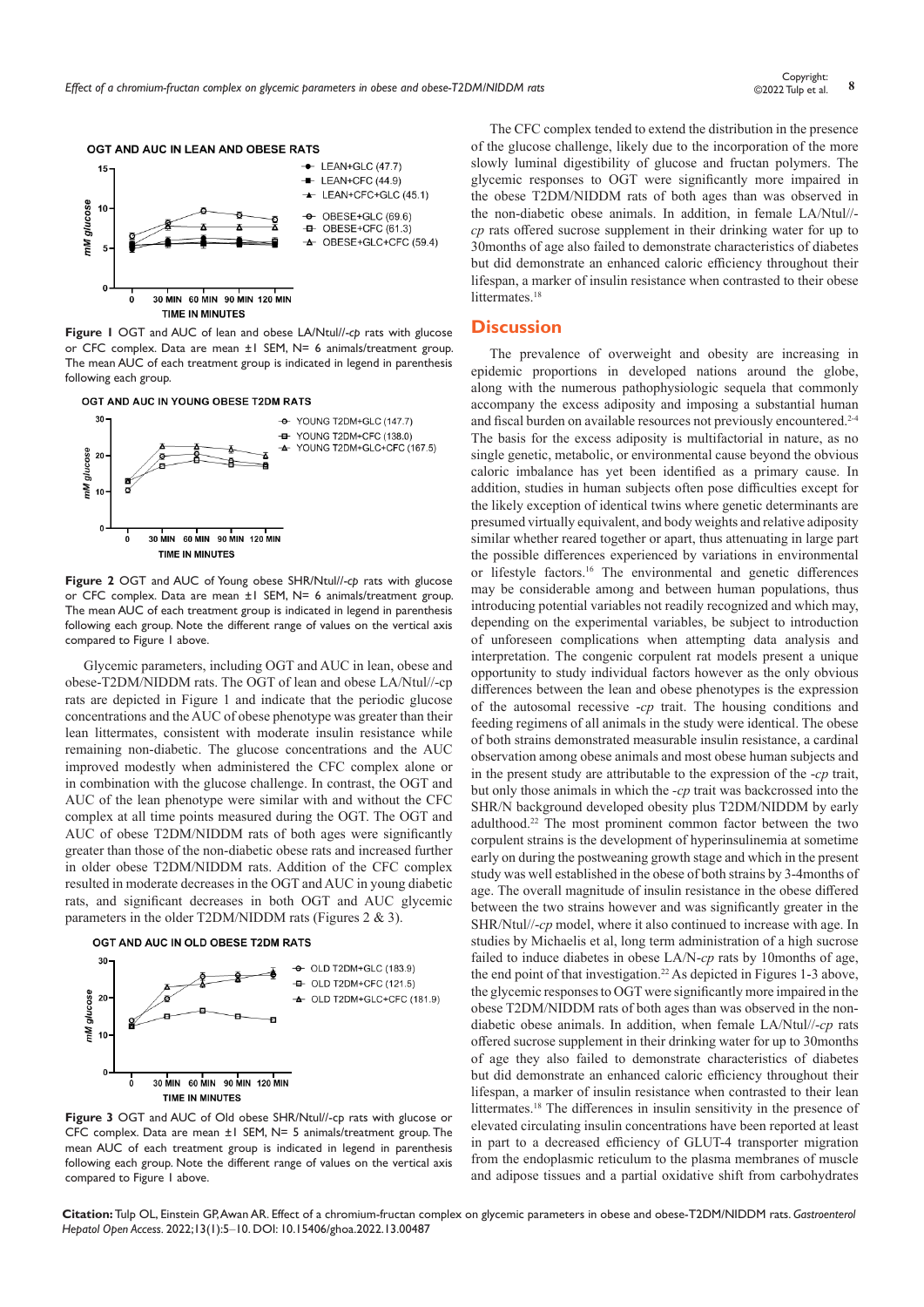

**Figure 1** OGT and AUC of lean and obese LA/Ntul//-*cp* rats with glucose or CFC complex. Data are mean ±1 SEM, N= 6 animals/treatment group. The mean AUC of each treatment group is indicated in legend in parenthesis following each group.



**Figure 2** OGT and AUC of Young obese SHR/Ntul//-*cp* rats with glucose or CFC complex. Data are mean ±1 SEM, N= 6 animals/treatment group. The mean AUC of each treatment group is indicated in legend in parenthesis following each group. Note the different range of values on the vertical axis compared to Figure 1 above.

Glycemic parameters, including OGT and AUC in lean, obese and obese-T2DM/NIDDM rats. The OGT of lean and obese LA/Ntul//-cp rats are depicted in Figure 1 and indicate that the periodic glucose concentrations and the AUC of obese phenotype was greater than their lean littermates, consistent with moderate insulin resistance while remaining non-diabetic. The glucose concentrations and the AUC improved modestly when administered the CFC complex alone or in combination with the glucose challenge. In contrast, the OGT and AUC of the lean phenotype were similar with and without the CFC complex at all time points measured during the OGT. The OGT and AUC of obese T2DM/NIDDM rats of both ages were significantly greater than those of the non-diabetic obese rats and increased further in older obese T2DM/NIDDM rats. Addition of the CFC complex resulted in moderate decreases in the OGT and AUC in young diabetic rats, and significant decreases in both OGT and AUC glycemic parameters in the older T2DM/NIDDM rats (Figures 2 & 3).





**Figure 3** OGT and AUC of Old obese SHR/Ntul//-cp rats with glucose or CFC complex. Data are mean ±1 SEM, N= 5 animals/treatment group. The mean AUC of each treatment group is indicated in legend in parenthesis following each group. Note the different range of values on the vertical axis compared to Figure 1 above.

The CFC complex tended to extend the distribution in the presence of the glucose challenge, likely due to the incorporation of the more slowly luminal digestibility of glucose and fructan polymers. The glycemic responses to OGT were significantly more impaired in the obese T2DM/NIDDM rats of both ages than was observed in the non-diabetic obese animals. In addition, in female LA/Ntul// *cp* rats offered sucrose supplement in their drinking water for up to 30months of age also failed to demonstrate characteristics of diabetes but did demonstrate an enhanced caloric efficiency throughout their lifespan, a marker of insulin resistance when contrasted to their obese littermates.<sup>18</sup>

#### **Discussion**

The prevalence of overweight and obesity are increasing in epidemic proportions in developed nations around the globe, along with the numerous pathophysiologic sequela that commonly accompany the excess adiposity and imposing a substantial human and fiscal burden on available resources not previously encountered.<sup>2-4</sup> The basis for the excess adiposity is multifactorial in nature, as no single genetic, metabolic, or environmental cause beyond the obvious caloric imbalance has yet been identified as a primary cause. In addition, studies in human subjects often pose difficulties except for the likely exception of identical twins where genetic determinants are presumed virtually equivalent, and body weights and relative adiposity similar whether reared together or apart, thus attenuating in large part the possible differences experienced by variations in environmental or lifestyle factors.16 The environmental and genetic differences may be considerable among and between human populations, thus introducing potential variables not readily recognized and which may, depending on the experimental variables, be subject to introduction of unforeseen complications when attempting data analysis and interpretation. The congenic corpulent rat models present a unique opportunity to study individual factors however as the only obvious differences between the lean and obese phenotypes is the expression of the autosomal recessive -*cp* trait. The housing conditions and feeding regimens of all animals in the study were identical. The obese of both strains demonstrated measurable insulin resistance, a cardinal observation among obese animals and most obese human subjects and in the present study are attributable to the expression of the -*cp* trait, but only those animals in which the *-cp* trait was backcrossed into the SHR/N background developed obesity plus T2DM/NIDDM by early adulthood.22 The most prominent common factor between the two corpulent strains is the development of hyperinsulinemia at sometime early on during the postweaning growth stage and which in the present study was well established in the obese of both strains by 3-4months of age. The overall magnitude of insulin resistance in the obese differed between the two strains however and was significantly greater in the SHR/Ntul//-*cp* model, where it also continued to increase with age. In studies by Michaelis et al, long term administration of a high sucrose failed to induce diabetes in obese LA/N-*cp* rats by 10months of age, the end point of that investigation.<sup>22</sup> As depicted in Figures 1-3 above, the glycemic responses to OGT were significantly more impaired in the obese T2DM/NIDDM rats of both ages than was observed in the nondiabetic obese animals. In addition, when female LA/Ntul//-*cp* rats offered sucrose supplement in their drinking water for up to 30months of age they also failed to demonstrate characteristics of diabetes but did demonstrate an enhanced caloric efficiency throughout their lifespan, a marker of insulin resistance when contrasted to their lean littermates.18 The differences in insulin sensitivity in the presence of elevated circulating insulin concentrations have been reported at least in part to a decreased efficiency of GLUT-4 transporter migration from the endoplasmic reticulum to the plasma membranes of muscle and adipose tissues and a partial oxidative shift from carbohydrates

**Citation:** Tulp OL, Einstein GP, Awan AR. Effect of a chromium-fructan complex on glycemic parameters in obese and obese-T2DM/NIDDM rats. *Gastroenterol Hepatol Open Access.* 2022;13(1):5‒10. DOI: [10.15406/ghoa.2022.13.00487](https://doi.org/10.15406/ghoa.2022.13.00487)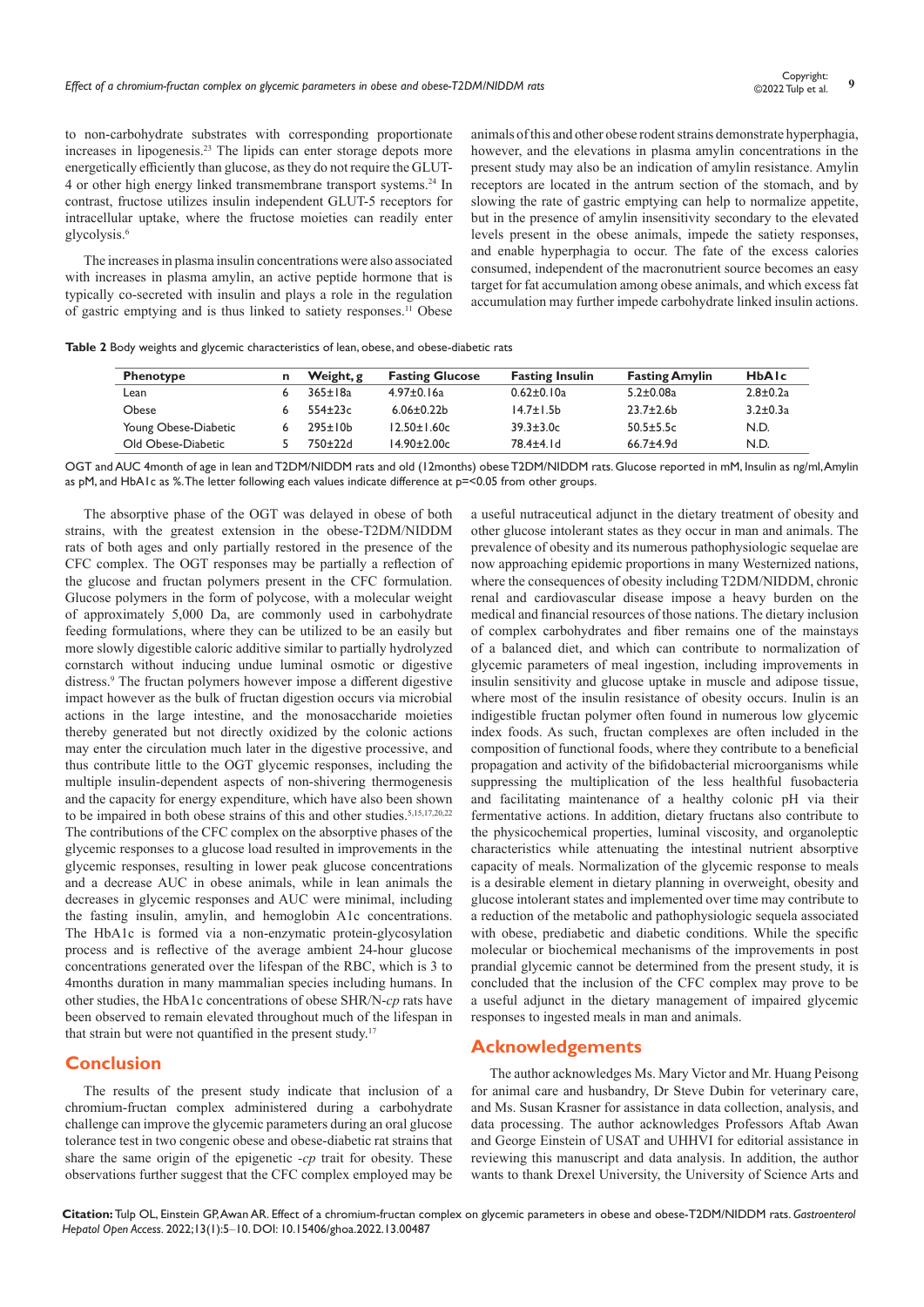to non-carbohydrate substrates with corresponding proportionate increases in lipogenesis.23 The lipids can enter storage depots more energetically efficiently than glucose, as they do not require the GLUT-4 or other high energy linked transmembrane transport systems.24 In contrast, fructose utilizes insulin independent GLUT-5 receptors for intracellular uptake, where the fructose moieties can readily enter glycolysis.6

The increases in plasma insulin concentrations were also associated with increases in plasma amylin, an active peptide hormone that is typically co-secreted with insulin and plays a role in the regulation of gastric emptying and is thus linked to satiety responses.11 Obese animals of this and other obese rodent strains demonstrate hyperphagia, however, and the elevations in plasma amylin concentrations in the present study may also be an indication of amylin resistance. Amylin receptors are located in the antrum section of the stomach, and by slowing the rate of gastric emptying can help to normalize appetite, but in the presence of amylin insensitivity secondary to the elevated levels present in the obese animals, impede the satiety responses, and enable hyperphagia to occur. The fate of the excess calories consumed, independent of the macronutrient source becomes an easy target for fat accumulation among obese animals, and which excess fat accumulation may further impede carbohydrate linked insulin actions.

| <b>Phenotype</b>     | Weight, g      | <b>Fasting Glucose</b> | <b>Fasting Insulin</b> | <b>Fasting Amylin</b> | <b>HbAIc</b>   |
|----------------------|----------------|------------------------|------------------------|-----------------------|----------------|
| Lean                 | $365 \pm 18a$  | $4.97 \pm 0.16a$       | $0.62 \pm 0.10a$       | $5.2 \pm 0.08a$       | $2.8 \pm 0.2a$ |
| Obese                | $554+23c$      | $6.06 \pm 0.22 b$      | $14.7 \pm 1.5$ b       | $23.7 \pm 2.6$        | $3.2 \pm 0.3a$ |
| Young Obese-Diabetic | $295 \pm 10 b$ | $12.50 \pm 1.60c$      | $39.3 \pm 3.0c$        | $50.5 \pm 5.5c$       | N.D.           |
| Old Obese-Diabetic   | 750+22d        | $14.90 \pm 2.00c$      | 78.4±4.1d              | $66.7 + 4.9d$         | N.D.           |

OGT and AUC 4month of age in lean and T2DM/NIDDM rats and old (12months) obese T2DM/NIDDM rats. Glucose reported in mM, Insulin as ng/ml, Amylin as pM, and HbA1c as %. The letter following each values indicate difference at p=<0.05 from other groups.

The absorptive phase of the OGT was delayed in obese of both strains, with the greatest extension in the obese-T2DM/NIDDM rats of both ages and only partially restored in the presence of the CFC complex. The OGT responses may be partially a reflection of the glucose and fructan polymers present in the CFC formulation. Glucose polymers in the form of polycose, with a molecular weight of approximately 5,000 Da, are commonly used in carbohydrate feeding formulations, where they can be utilized to be an easily but more slowly digestible caloric additive similar to partially hydrolyzed cornstarch without inducing undue luminal osmotic or digestive distress.9 The fructan polymers however impose a different digestive impact however as the bulk of fructan digestion occurs via microbial actions in the large intestine, and the monosaccharide moieties thereby generated but not directly oxidized by the colonic actions may enter the circulation much later in the digestive processive, and thus contribute little to the OGT glycemic responses, including the multiple insulin-dependent aspects of non-shivering thermogenesis and the capacity for energy expenditure, which have also been shown to be impaired in both obese strains of this and other studies.<sup>5,15,17,20,22</sup> The contributions of the CFC complex on the absorptive phases of the glycemic responses to a glucose load resulted in improvements in the glycemic responses, resulting in lower peak glucose concentrations and a decrease AUC in obese animals, while in lean animals the decreases in glycemic responses and AUC were minimal, including the fasting insulin, amylin, and hemoglobin A1c concentrations. The HbA1c is formed via a non-enzymatic protein-glycosylation process and is reflective of the average ambient 24-hour glucose concentrations generated over the lifespan of the RBC, which is 3 to 4months duration in many mammalian species including humans. In other studies, the HbA1c concentrations of obese SHR/N-*cp* rats have been observed to remain elevated throughout much of the lifespan in that strain but were not quantified in the present study.<sup>17</sup>

# **Conclusion**

The results of the present study indicate that inclusion of a chromium-fructan complex administered during a carbohydrate challenge can improve the glycemic parameters during an oral glucose tolerance test in two congenic obese and obese-diabetic rat strains that share the same origin of the epigenetic *-cp* trait for obesity. These observations further suggest that the CFC complex employed may be

a useful nutraceutical adjunct in the dietary treatment of obesity and other glucose intolerant states as they occur in man and animals. The prevalence of obesity and its numerous pathophysiologic sequelae are now approaching epidemic proportions in many Westernized nations, where the consequences of obesity including T2DM/NIDDM, chronic renal and cardiovascular disease impose a heavy burden on the medical and financial resources of those nations. The dietary inclusion of complex carbohydrates and fiber remains one of the mainstays of a balanced diet, and which can contribute to normalization of glycemic parameters of meal ingestion, including improvements in insulin sensitivity and glucose uptake in muscle and adipose tissue, where most of the insulin resistance of obesity occurs. Inulin is an indigestible fructan polymer often found in numerous low glycemic index foods. As such, fructan complexes are often included in the composition of functional foods, where they contribute to a beneficial propagation and activity of the bifidobacterial microorganisms while suppressing the multiplication of the less healthful fusobacteria and facilitating maintenance of a healthy colonic pH via their fermentative actions. In addition, dietary fructans also contribute to the physicochemical properties, luminal viscosity, and organoleptic characteristics while attenuating the intestinal nutrient absorptive capacity of meals. Normalization of the glycemic response to meals is a desirable element in dietary planning in overweight, obesity and glucose intolerant states and implemented over time may contribute to a reduction of the metabolic and pathophysiologic sequela associated with obese, prediabetic and diabetic conditions. While the specific molecular or biochemical mechanisms of the improvements in post prandial glycemic cannot be determined from the present study, it is concluded that the inclusion of the CFC complex may prove to be a useful adjunct in the dietary management of impaired glycemic responses to ingested meals in man and animals.

### **Acknowledgements**

The author acknowledges Ms. Mary Victor and Mr. Huang Peisong for animal care and husbandry, Dr Steve Dubin for veterinary care, and Ms. Susan Krasner for assistance in data collection, analysis, and data processing. The author acknowledges Professors Aftab Awan and George Einstein of USAT and UHHVI for editorial assistance in reviewing this manuscript and data analysis. In addition, the author wants to thank Drexel University, the University of Science Arts and